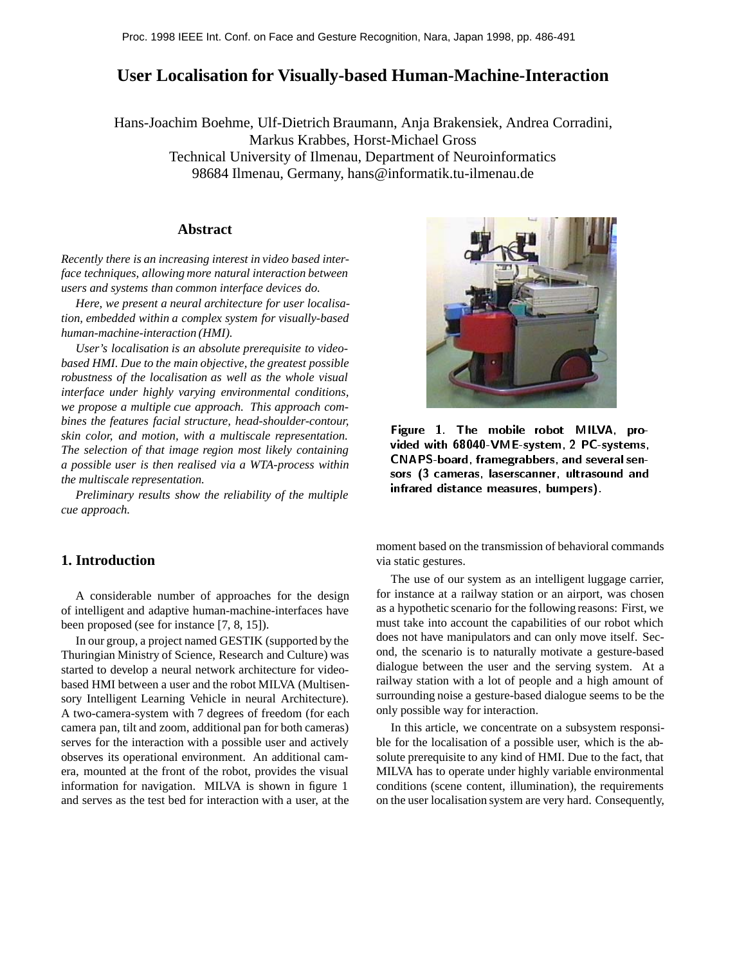Proc. 1998 IEEE Int. Conf. on Face and Gesture Recognition, Nara, Japan 1998, pp. 486-491

# **User Localisation for Visually-based Human-Machine-Interaction**

Hans-Joachim Boehme, Ulf-Dietrich Braumann, Anja Brakensiek, Andrea Corradini, Markus Krabbes, Horst-Michael Gross Technical University of Ilmenau, Department of Neuroinformatics 98684 Ilmenau, Germany, hans@informatik.tu-ilmenau.de

### **Abstract**

*Recently there is an increasing interest in video based interface techniques, allowing more natural interaction between users and systems than common interface devices do.*

*Here, we present a neural architecture for user localisation, embedded within a complex system for visually-based human-machine-interaction (HMI).*

*User's localisation is an absolute prerequisite to videobased HMI. Due to the main objective, the greatest possible robustness of the localisation as well as the whole visual interface under highly varying environmental conditions, we propose a multiple cue approach. This approach combines the features facial structure, head-shoulder-contour, skin color, and motion, with a multiscale representation. The selection of that image region most likely containing a possible user is then realised via a WTA-process within the multiscale representation.*

*Preliminary results show the reliability of the multiple cue approach.*

## **1. Introduction**

A considerable number of approaches for the design of intelligent and adaptive human-machine-interfaces have been proposed (see for instance [7, 8, 15]).

In our group, a project named GESTIK (supported by the Thuringian Ministry of Science, Research and Culture) was started to develop a neural network architecture for videobased HMI between a user and the robot MILVA (Multisensory Intelligent Learning Vehicle in neural Architecture). A two-camera-system with 7 degrees of freedom (for each camera pan, tilt and zoom, additional pan for both cameras) serves for the interaction with a possible user and actively observes its operational environment. An additional camera, mounted at the front of the robot, provides the visual information for navigation. MILVA is shown in figure 1 and serves as the test bed for interaction with a user, at the



Figure - The mobile robot MILVA pro video video video video video video video video video video video video video video video video video video vi CNAPS-board, framegrabbers, and several sensors (3 cameras, laserscanner, ultrasound and infrared distance measures, bumpers).

moment based on the transmission of behavioral commands via static gestures.

The use of our system as an intelligent luggage carrier, for instance at a railway station or an airport, was chosen as a hypothetic scenario for the following reasons: First, we must take into account the capabilities of our robot which does not have manipulators and can only move itself. Second, the scenario is to naturally motivate a gesture-based dialogue between the user and the serving system. At a railway station with a lot of people and a high amount of surrounding noise a gesture-based dialogue seems to be the only possible way for interaction.

In this article, we concentrate on a subsystem responsible for the localisation of a possible user, which is the absolute prerequisite to any kind of HMI. Due to the fact, that MILVA has to operate under highly variable environmental conditions (scene content, illumination), the requirements on the user localisation system are very hard. Consequently,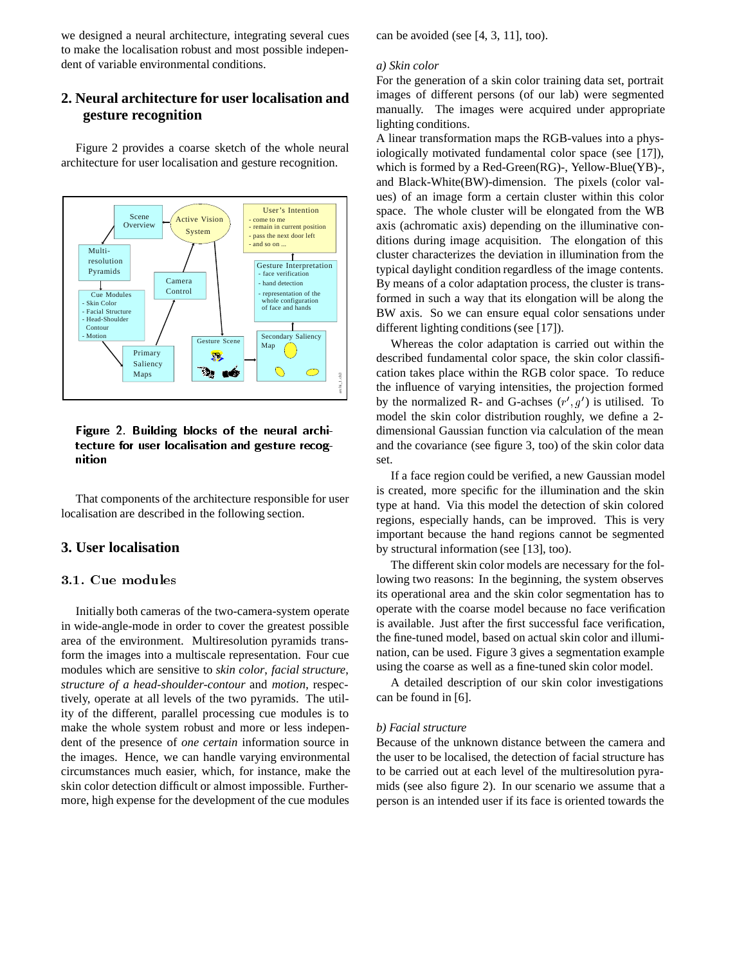we designed a neural architecture, integrating several cues to make the localisation robust and most possible independent of variable environmental conditions.

# **2. Neural architecture for user localisation and gesture recognition**

Figure 2 provides a coarse sketch of the whole neural architecture for user localisation and gesture recognition.



Figure Building blocks of the neural archi tecture for user localisation and gesture recog nition

That components of the architecture responsible for user localisation are described in the following section.

### **3. User localisation**

#### -- Cue modules

Initially both cameras of the two-camera-system operate in wide-angle-mode in order to cover the greatest possible area of the environment. Multiresolution pyramids transform the images into a multiscale representation. Four cue modules which are sensitive to *skin color*, *facial structure*, *structure of a head-shoulder-contour* and *motion*, respectively, operate at all levels of the two pyramids. The utility of the different, parallel processing cue modules is to make the whole system robust and more or less independent of the presence of *one certain* information source in the images. Hence, we can handle varying environmental circumstances much easier, which, for instance, make the skin color detection difficult or almost impossible. Furthermore, high expense for the development of the cue modules

can be avoided (see [4, 3, 11], too).

#### *a) Skin color*

For the generation of a skin color training data set, portrait images of different persons (of our lab) were segmented manually. The images were acquired under appropriate lighting conditions.

A linear transformation maps the RGB-values into a physiologically motivated fundamental color space (see [17]), which is formed by a Red-Green(RG)-, Yellow-Blue(YB)-, and Black-White(BW)-dimension. The pixels (color values) of an image form a certain cluster within this color space. The whole cluster will be elongated from the WB axis (achromatic axis) depending on the illuminative conditions during image acquisition. The elongation of this cluster characterizes the deviation in illumination from the typical daylight condition regardless of the image contents. By means of a color adaptation process, the cluster is transformed in such a way that its elongation will be along the BW axis. So we can ensure equal color sensations under different lighting conditions (see [17]).

Whereas the color adaptation is carried out within the described fundamental color space, the skin color classification takes place within the RGB color space. To reduce the influence of varying intensities, the projection formed by the normalized R- and G-achses  $(r', g')$  is utilised. To model the skin color distribution roughly, we define a 2 dimensional Gaussian function via calculation of the mean and the covariance (see figure 3, too) of the skin color data set.

If a face region could be verified, a new Gaussian model is created, more specific for the illumination and the skin type at hand. Via this model the detection of skin colored regions, especially hands, can be improved. This is very important because the hand regions cannot be segmented by structural information (see [13], too).

The different skin color models are necessary for the following two reasons: In the beginning, the system observes its operational area and the skin color segmentation has to operate with the coarse model because no face verification is available. Just after the first successful face verification, the fine-tuned model, based on actual skin color and illumination, can be used. Figure 3 gives a segmentation example using the coarse as well as a fine-tuned skin color model.

A detailed description of our skin color investigations can be found in [6].

### *b) Facial structure*

Because of the unknown distance between the camera and the user to be localised, the detection of facial structure has to be carried out at each level of the multiresolution pyramids (see also figure 2). In our scenario we assume that a person is an intended user if its face is oriented towards the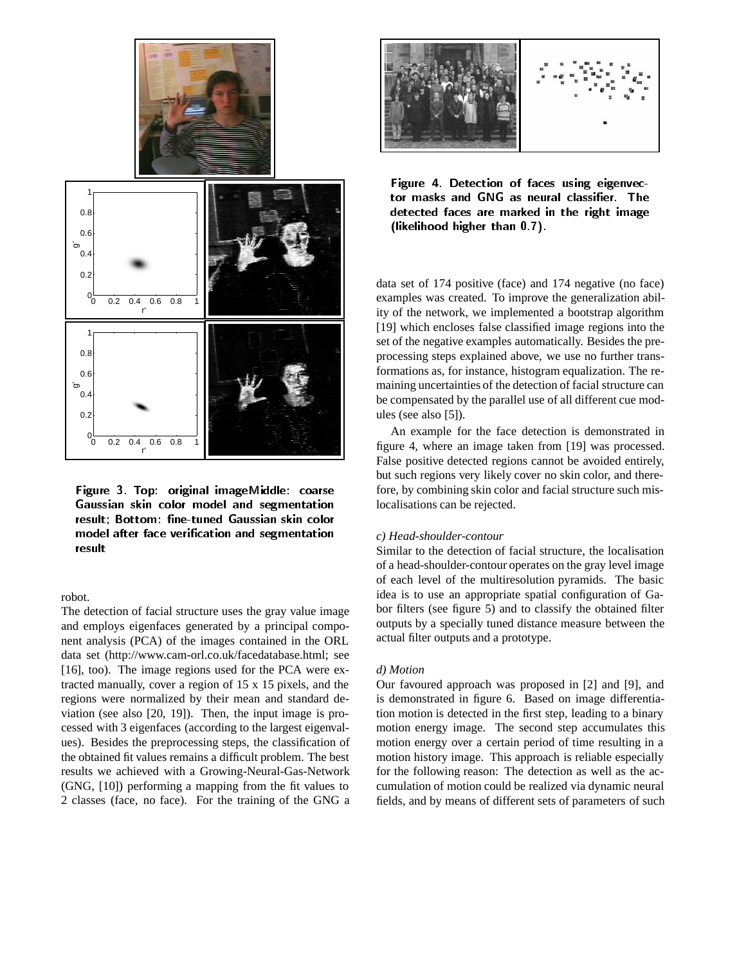

Figure 3. Top: original imageMiddle: coarse Gaussian skin color model and segmentation Gaussian skin color model and segmentation result; Bottom: fine-tuned Gaussian skin color model after face verification and segmentation result

#### robot.

The detection of facial structure uses the gray value image and employs eigenfaces generated by a principal component analysis (PCA) of the images contained in the ORL data set (http://www.cam-orl.co.uk/facedatabase.html; see [16], too). The image regions used for the PCA were extracted manually, cover a region of 15 x 15 pixels, and the regions were normalized by their mean and standard deviation (see also [20, 19]). Then, the input image is processed with 3 eigenfaces (according to the largest eigenvalues). Besides the preprocessing steps, the classification of the obtained fit values remains a difficult problem. The best results we achieved with a Growing-Neural-Gas-Network (GNG, [10]) performing a mapping from the fit values to 2 classes (face, no face). For the training of the GNG a



Figure 4. Detection of faces using eigenvector masks and GNG as neural classifier. The detected faces are marked in the right image (likelihood higher than 0.7).

data set of 174 positive (face) and 174 negative (no face) examples was created. To improve the generalization ability of the network, we implemented a bootstrap algorithm [19] which encloses false classified image regions into the set of the negative examples automatically. Besides the preprocessing steps explained above, we use no further transformations as, for instance, histogram equalization. The remaining uncertainties of the detection of facial structure can be compensated by the parallel use of all different cue modules (see also [5]).

An example for the face detection is demonstrated in figure 4, where an image taken from [19] was processed. False positive detected regions cannot be avoided entirely, but such regions very likely cover no skin color, and therefore, by combining skin color and facial structure such mislocalisations can be rejected.

#### *c) Head-shoulder-contour*

Similar to the detection of facial structure, the localisation of a head-shoulder-contour operates on the gray level image of each level of the multiresolution pyramids. The basic idea is to use an appropriate spatial configuration of Gabor filters (see figure 5) and to classify the obtained filter outputs by a specially tuned distance measure between the actual filter outputs and a prototype.

#### *d) Motion*

Our favoured approach was proposed in [2] and [9], and is demonstrated in figure 6. Based on image differentiation motion is detected in the first step, leading to a binary motion energy image. The second step accumulates this motion energy over a certain period of time resulting in a motion history image. This approach is reliable especially for the following reason: The detection as well as the accumulation of motion could be realized via dynamic neural fields, and by means of different sets of parameters of such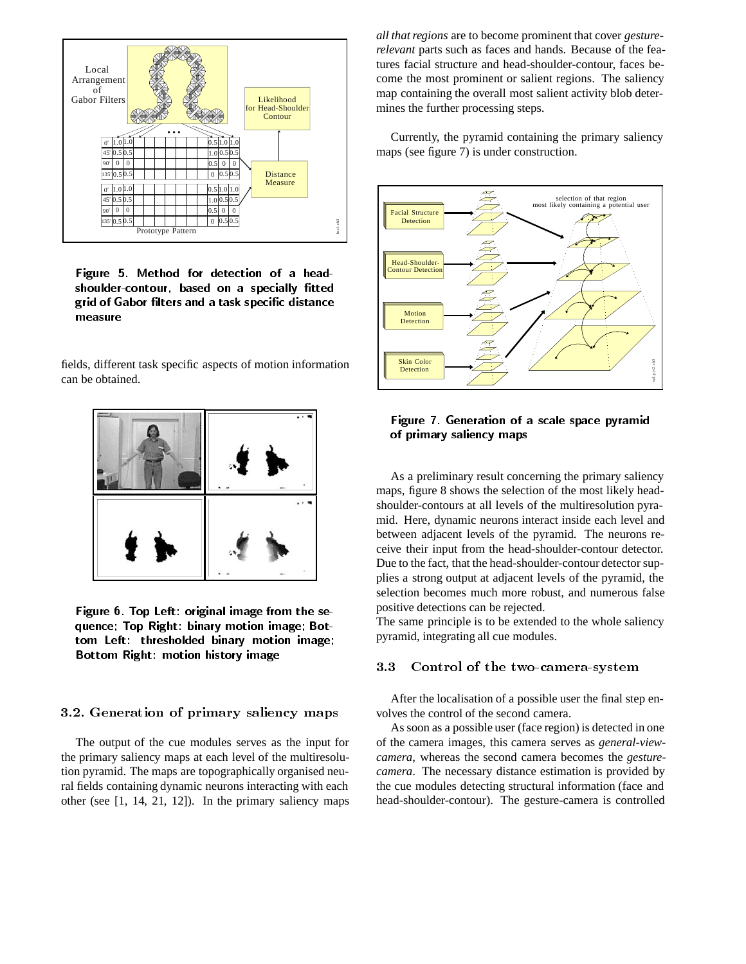

Figure 5. Method for detection of a headshoulder-contour, based on a specially fitted grid of Gabor filters and a task specific distance measure

fields, different task specific aspects of motion information can be obtained.



Figure 6. Top Left: original image from the sequence; Top Right: binary motion image; Bottom Left: thresholded binary motion image; Bottom Right: motion history image

#### -- Generation of primary saliency maps

The output of the cue modules serves as the input for the primary saliency maps at each level of the multiresolution pyramid. The maps are topographically organised neural fields containing dynamic neurons interacting with each other (see [1, 14, 21, 12]). In the primary saliency maps *all that regions* are to become prominent that cover *gesturerelevant* parts such as faces and hands. Because of the features facial structure and head-shoulder-contour, faces become the most prominent or salient regions. The saliency map containing the overall most salient activity blob determines the further processing steps.

Currently, the pyramid containing the primary saliency maps (see figure 7) is under construction.



### Figure 7. Generation of a scale space pyramid of primary saliency maps

As a preliminary result concerning the primary saliency maps, figure 8 shows the selection of the most likely headshoulder-contours at all levels of the multiresolution pyramid. Here, dynamic neurons interact inside each level and between adjacent levels of the pyramid. The neurons receive their input from the head-shoulder-contour detector. Due to the fact, that the head-shoulder-contour detector supplies a strong output at adjacent levels of the pyramid, the selection becomes much more robust, and numerous false positive detections can be rejected.

The same principle is to be extended to the whole saliency pyramid, integrating all cue modules.

#### Control of the two-camera-system

After the localisation of a possible user the final step envolves the control of the second camera.

As soon as a possible user (face region) is detected in one of the camera images, this camera serves as *general-viewcamera*, whereas the second camera becomes the *gesturecamera*. The necessary distance estimation is provided by the cue modules detecting structural information (face and head-shoulder-contour). The gesture-camera is controlled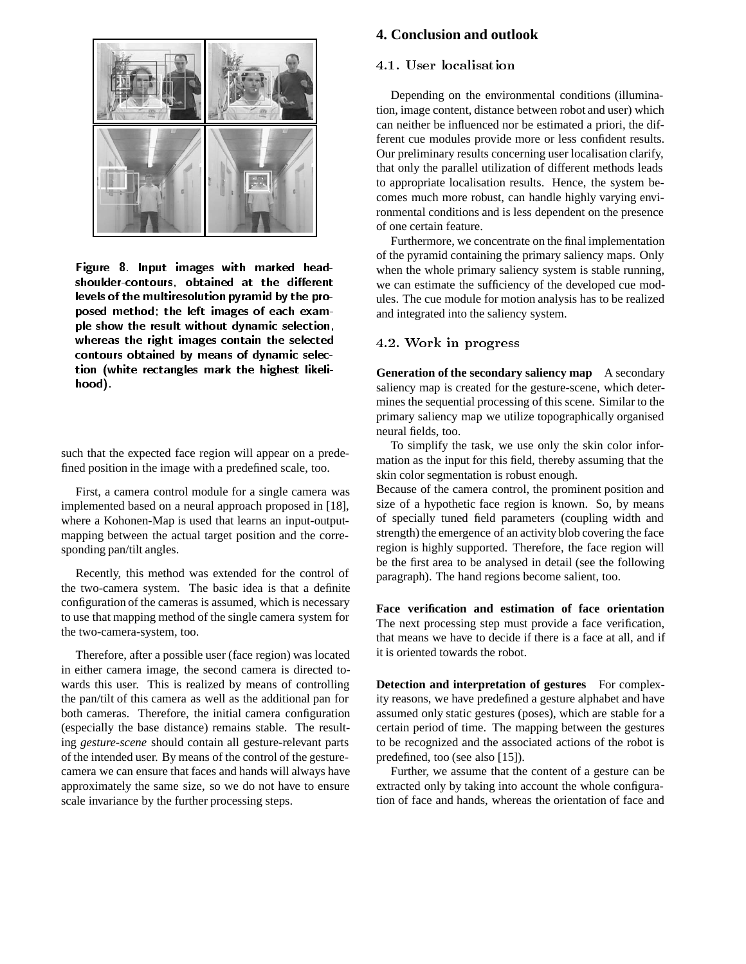

Figure 8. Input images with marked headshoulder-contours, obtained at the different levels of the multiresolution pyramid by the pro posed method; the left images of each example show the result without dynamic selection whereas the right images contain the selected contours obtained by means of dynamic selec tion (white rectangles mark the highest likelihood

such that the expected face region will appear on a predefined position in the image with a predefined scale, too.

First, a camera control module for a single camera was implemented based on a neural approach proposed in [18], where a Kohonen-Map is used that learns an input-outputmapping between the actual target position and the corresponding pan/tilt angles.

Recently, this method was extended for the control of the two-camera system. The basic idea is that a definite configuration of the cameras is assumed, which is necessary to use that mapping method of the single camera system for the two-camera-system, too.

Therefore, after a possible user (face region) was located in either camera image, the second camera is directed towards this user. This is realized by means of controlling the pan/tilt of this camera as well as the additional pan for both cameras. Therefore, the initial camera configuration (especially the base distance) remains stable. The resulting *gesture-scene* should contain all gesture-relevant parts of the intended user. By means of the control of the gesturecamera we can ensure that faces and hands will always have approximately the same size, so we do not have to ensure scale invariance by the further processing steps.

### **4. Conclusion and outlook**

#### -- User localisation

Depending on the environmental conditions (illumination, image content, distance between robot and user) which can neither be influenced nor be estimated a priori, the different cue modules provide more or less confident results. Our preliminary results concerning user localisation clarify, that only the parallel utilization of different methods leads to appropriate localisation results. Hence, the system becomes much more robust, can handle highly varying environmental conditions and is less dependent on the presence of one certain feature.

Furthermore, we concentrate on the final implementation of the pyramid containing the primary saliency maps. Only when the whole primary saliency system is stable running, we can estimate the sufficiency of the developed cue modules. The cue module for motion analysis has to be realized and integrated into the saliency system.

#### $\pm .2$ . Work in progress

**Generation of the secondary saliency map** A secondary saliency map is created for the gesture-scene, which determines the sequential processing of this scene. Similar to the primary saliency map we utilize topographically organised neural fields, too.

To simplify the task, we use only the skin color information as the input for this field, thereby assuming that the skin color segmentation is robust enough.

Because of the camera control, the prominent position and size of a hypothetic face region is known. So, by means of specially tuned field parameters (coupling width and strength) the emergence of an activity blob covering the face region is highly supported. Therefore, the face region will be the first area to be analysed in detail (see the following paragraph). The hand regions become salient, too.

**Face verification and estimation of face orientation** The next processing step must provide a face verification, that means we have to decide if there is a face at all, and if it is oriented towards the robot.

**Detection and interpretation of gestures** For complexity reasons, we have predefined a gesture alphabet and have assumed only static gestures (poses), which are stable for a certain period of time. The mapping between the gestures to be recognized and the associated actions of the robot is predefined, too (see also [15]).

Further, we assume that the content of a gesture can be extracted only by taking into account the whole configuration of face and hands, whereas the orientation of face and